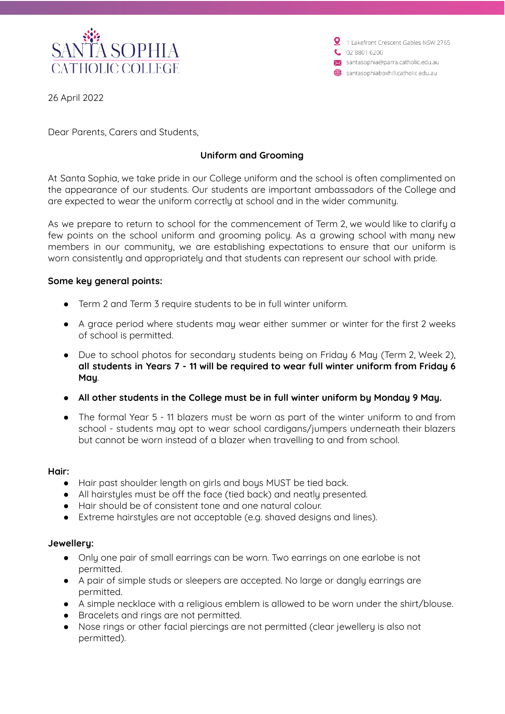

1 Lakefront Crescent Gables NSW 2765 02 8801 6200 santasophia@parra.catholic.edu.au santasophiaboxhill.catholic.edu.au

26 April 2022

Dear Parents, Carers and Students,

# **Uniform and Grooming**

At Santa Sophia, we take pride in our College uniform and the school is often complimented on the appearance of our students. Our students are important ambassadors of the College and are expected to wear the uniform correctly at school and in the wider community.

As we prepare to return to school for the commencement of Term 2, we would like to clarify a few points on the school uniform and grooming policy. As a growing school with many new members in our community, we are establishing expectations to ensure that our uniform is worn consistently and appropriately and that students can represent our school with pride.

## **Some key general points:**

- Term 2 and Term 3 require students to be in full winter uniform.
- A grace period where students may wear either summer or winter for the first 2 weeks of school is permitted.
- Due to school photos for secondary students being on Friday 6 May (Term 2, Week 2), **all students in Years 7 - 11 will be required to wear full winter uniform from Friday 6 May**.
- **● All other students in the College must be in full winter uniform by Monday 9 May.**
- The formal Year 5 11 blazers must be worn as part of the winter uniform to and from school - students may opt to wear school cardigans/jumpers underneath their blazers but cannot be worn instead of a blazer when travelling to and from school.

#### **Hair:**

- Hair past shoulder length on girls and boys MUST be tied back.
- All hairstyles must be off the face (tied back) and neatly presented.
- Hair should be of consistent tone and one natural colour.
- Extreme hairstyles are not acceptable (e.g. shaved designs and lines).

#### **Jewellery:**

- Only one pair of small earrings can be worn. Two earrings on one earlobe is not permitted.
- A pair of simple studs or sleepers are accepted. No large or dangly earrings are permitted.
- A simple necklace with a religious emblem is allowed to be worn under the shirt/blouse.
- Bracelets and rings are not permitted.
- Nose rings or other facial piercings are not permitted (clear jewellery is also not permitted).